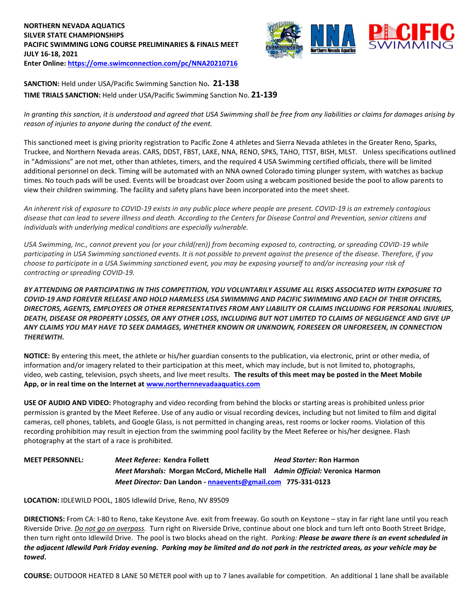# **NORTHERN NEVADA AQUATICS SILVER STATE CHAMPIONSHIPS PACIFIC SWIMMING LONG COURSE PRELIMINARIES & FINALS MEET JULY 16-18, 2021 Enter Online: <https://ome.swimconnection.com/pc/NNA20210716>**



**SANCTION:** Held under USA/Pacific Swimming Sanction No**. 21-138 TIME TRIALS SANCTION:** Held under USA/Pacific Swimming Sanction No. **21-139**

*In granting this sanction, it is understood and agreed that USA Swimming shall be free from any liabilities or claims for damages arising by reason of injuries to anyone during the conduct of the event.*

This sanctioned meet is giving priority registration to Pacific Zone 4 athletes and Sierra Nevada athletes in the Greater Reno, Sparks, Truckee, and Northern Nevada areas. CARS, DDST, FBST, LAKE, NNA, RENO, SPKS, TAHO, TTST, BISH, MLST. Unless specifications outlined in "Admissions" are not met, other than athletes, timers, and the required 4 USA Swimming certified officials, there will be limited additional personnel on deck. Timing will be automated with an NNA owned Colorado timing plunger system, with watches as backup times. No touch pads will be used. Events will be broadcast over Zoom using a webcam positioned beside the pool to allow parents to view their children swimming. The facility and safety plans have been incorporated into the meet sheet.

*An inherent risk of exposure to COVID-19 exists in any public place where people are present. COVID-19 is an extremely contagious disease that can lead to severe illness and death. According to the Centers for Disease Control and Prevention, senior citizens and individuals with underlying medical conditions are especially vulnerable.*

*USA Swimming, Inc., cannot prevent you (or your child(ren)) from becoming exposed to, contracting, or spreading COVID-19 while participating in USA Swimming sanctioned events. It is not possible to prevent against the presence of the disease. Therefore, if you choose to participate in a USA Swimming sanctioned event, you may be exposing yourself to and/or increasing your risk of contracting or spreading COVID-19.*

*BY ATTENDING OR PARTICIPATING IN THIS COMPETITION, YOU VOLUNTARILY ASSUME ALL RISKS ASSOCIATED WITH EXPOSURE TO COVID-19 AND FOREVER RELEASE AND HOLD HARMLESS USA SWIMMING AND PACIFIC SWIMMING AND EACH OF THEIR OFFICERS, DIRECTORS, AGENTS, EMPLOYEES OR OTHER REPRESENTATIVES FROM ANY LIABILITY OR CLAIMS INCLUDING FOR PERSONAL INJURIES, DEATH, DISEASE OR PROPERTY LOSSES, OR ANY OTHER LOSS, INCLUDING BUT NOT LIMITED TO CLAIMS OF NEGLIGENCE AND GIVE UP ANY CLAIMS YOU MAY HAVE TO SEEK DAMAGES, WHETHER KNOWN OR UNKNOWN, FORESEEN OR UNFORESEEN, IN CONNECTION THEREWITH.*

**NOTICE:** By entering this meet, the athlete or his/her guardian consents to the publication, via electronic, print or other media, of information and/or imagery related to their participation at this meet, which may include, but is not limited to, photographs, video, web casting, television, psych sheets, and live meet results. **The results of this meet may be posted in the Meet Mobile App, or in real time on the Internet a[t www.northernnevadaaquatics.com](http://www.northernnevadaaquatics.com/)**

**USE OF AUDIO AND VIDEO:** Photography and video recording from behind the blocks or starting areas is prohibited unless prior permission is granted by the Meet Referee. Use of any audio or visual recording devices, including but not limited to film and digital cameras, cell phones, tablets, and Google Glass, is not permitted in changing areas, rest rooms or locker rooms. Violation of this recording prohibition may result in ejection from the swimming pool facility by the Meet Referee or his/her designee. Flash photography at the start of a race is prohibited.

**MEET PERSONNEL:** *Meet Referee:* **Kendra Follett** *Head Starter:* **Ron Harmon**  *Meet Marshals:* **Morgan McCord, Michelle Hall** *Admin Official:* **Veronica Harmon**  *Meet Director:* **Dan Landon - [nnaevents@gmail.com](mailto:nnaevents@gmail.com) 775-331-0123**

**LOCATION:** IDLEWILD POOL, 1805 Idlewild Drive, Reno, NV 89509

**DIRECTIONS:** From CA: I-80 to Reno, take Keystone Ave. exit from freeway. Go south on Keystone – stay in far right lane until you reach Riverside Drive. *Do not go on overpass.* Turn right on Riverside Drive, continue about one block and turn left onto Booth Street Bridge, then turn right onto Idlewild Drive. The pool is two blocks ahead on the right. *Parking: Please be aware there is an event scheduled in the adjacent Idlewild Park Friday evening. Parking may be limited and do not park in the restricted areas, as your vehicle may be towed***.**

**COURSE:** OUTDOOR HEATED 8 LANE 50 METER pool with up to 7 lanes available for competition. An additional 1 lane shall be available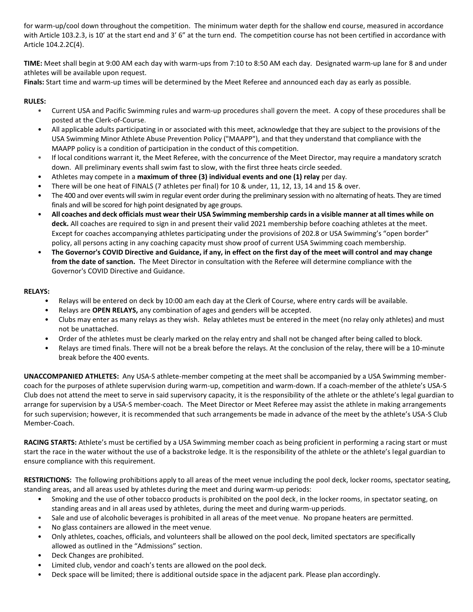for warm-up/cool down throughout the competition. The minimum water depth for the shallow end course, measured in accordance with Article 103.2.3, is 10' at the start end and 3' 6" at the turn end. The competition course has not been certified in accordance with Article 104.2.2C(4).

**TIME:** Meet shall begin at 9:00 AM each day with warm-ups from 7:10 to 8:50 AM each day. Designated warm-up lane for 8 and under athletes will be available upon request.

**Finals:** Start time and warm-up times will be determined by the Meet Referee and announced each day as early as possible.

## **RULES:**

- Current USA and Pacific Swimming rules and warm-up procedures shall govern the meet. A copy of these procedures shall be posted at the Clerk-of-Course.
- All applicable adults participating in or associated with this meet, acknowledge that they are subject to the provisions of the USA Swimming Minor Athlete Abuse Prevention Policy ("MAAPP"), and that they understand that compliance with the MAAPP policy is a condition of participation in the conduct of this competition.
- If local conditions warrant it, the Meet Referee, with the concurrence of the Meet Director, may require a mandatory scratch down. All preliminary events shall swim fast to slow, with the first three heats circle seeded.
- Athletes may compete in a **maximum of three (3) individual events and one (1) relay** per day.
- There will be one heat of FINALS (7 athletes per final) for 10 & under, 11, 12, 13, 14 and 15 & over.
- The 400 and over events will swim in regular event order during the preliminary session with no alternating of heats. They are timed finals and will be scored for high point designated by age groups.
- All coaches and deck officials must wear their USA Swimming membership cards in a visible manner at all times while on **deck.** All coaches are required to sign in and present their valid 2021 membership before coaching athletes at the meet. Except for coaches accompanying athletes participating under the provisions of 202.8 or USA Swimming's "open border" policy, all persons acting in any coaching capacity must show proof of current USA Swimming coach membership.
- **The Governor's COVID Directive and Guidance, if any, in effect on the first day of the meet will control and may change from the date of sanction.** The Meet Director in consultation with the Referee will determine compliance with the Governor's COVID Directive and Guidance.

#### **RELAYS:**

- Relays will be entered on deck by 10:00 am each day at the Clerk of Course, where entry cards will be available.
- Relays are **OPEN RELAYS,** any combination of ages and genders will be accepted.
- Clubs may enter as many relays as they wish. Relay athletes must be entered in the meet (no relay only athletes) and must not be unattached.
- Order of the athletes must be clearly marked on the relay entry and shall not be changed after being called to block.
- Relays are timed finals. There will not be a break before the relays. At the conclusion of the relay, there will be a 10-minute break before the 400 events.

**UNACCOMPANIED ATHLETES:** Any USA-S athlete-member competing at the meet shall be accompanied by a USA Swimming membercoach for the purposes of athlete supervision during warm-up, competition and warm-down. If a coach-member of the athlete's USA-S Club does not attend the meet to serve in said supervisory capacity, it is the responsibility of the athlete or the athlete's legal guardian to arrange for supervision by a USA-S member-coach. The Meet Director or Meet Referee may assist the athlete in making arrangements for such supervision; however, it is recommended that such arrangements be made in advance of the meet by the athlete's USA-S Club Member-Coach.

**RACING STARTS:** Athlete's must be certified by a USA Swimming member coach as being proficient in performing a racing start or must start the race in the water without the use of a backstroke ledge. It is the responsibility of the athlete or the athlete's legal guardian to ensure compliance with this requirement.

**RESTRICTIONS:** The following prohibitions apply to all areas of the meet venue including the pool deck, locker rooms, spectator seating, standing areas, and all areas used by athletes during the meet and during warm-up periods:

- Smoking and the use of other tobacco products is prohibited on the pool deck, in the locker rooms, in spectator seating, on standing areas and in all areas used by athletes, during the meet and during warm-up periods.
- Sale and use of alcoholic beverages is prohibited in all areas of the meet venue. No propane heaters are permitted.
- No glass containers are allowed in the meet venue.
- Only athletes, coaches, officials, and volunteers shall be allowed on the pool deck, limited spectators are specifically allowed as outlined in the "Admissions" section.
- Deck Changes are prohibited.
- Limited club, vendor and coach's tents are allowed on the pool deck.
- Deck space will be limited; there is additional outside space in the adjacent park. Please plan accordingly.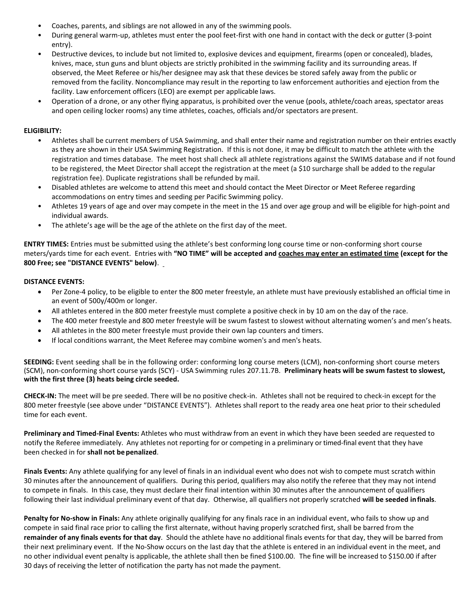- Coaches, parents, and siblings are not allowed in any of the swimming pools.
- During general warm-up, athletes must enter the pool feet-first with one hand in contact with the deck or gutter (3-point entry).
- Destructive devices, to include but not limited to, explosive devices and equipment, firearms (open or concealed), blades, knives, mace, stun guns and blunt objects are strictly prohibited in the swimming facility and its surrounding areas. If observed, the Meet Referee or his/her designee may ask that these devices be stored safely away from the public or removed from the facility. Noncompliance may result in the reporting to law enforcement authorities and ejection from the facility. Law enforcement officers (LEO) are exempt per applicable laws.
- Operation of a drone, or any other flying apparatus, is prohibited over the venue (pools, athlete/coach areas, spectator areas and open ceiling locker rooms) any time athletes, coaches, officials and/or spectators are present.

## **ELIGIBILITY:**

- Athletes shall be current members of USA Swimming, and shall enter their name and registration number on their entries exactly as they are shown in their USA Swimming Registration. If this is not done, it may be difficult to match the athlete with the registration and times database. The meet host shall check all athlete registrations against the SWIMS database and if not found to be registered, the Meet Director shall accept the registration at the meet (a \$10 surcharge shall be added to the regular registration fee). Duplicate registrations shall be refunded by mail.
- Disabled athletes are welcome to attend this meet and should contact the Meet Director or Meet Referee regarding accommodations on entry times and seeding per Pacific Swimming policy.
- Athletes 19 years of age and over may compete in the meet in the 15 and over age group and will be eligible for high-point and individual awards.
- The athlete's age will be the age of the athlete on the first day of the meet.

**ENTRY TIMES:** Entries must be submitted using the athlete's best conforming long course time or non-conforming short course meters/yards time for each event. Entries with **"NO TIME" will be accepted and coaches may enter an estimated time (except for the 800 Free; see "DISTANCE EVENTS" below)**.

# **DISTANCE EVENTS:**

- Per Zone-4 policy, to be eligible to enter the 800 meter freestyle, an athlete must have previously established an official time in an event of 500y/400m or longer.
- All athletes entered in the 800 meter freestyle must complete a positive check in by 10 am on the day of the race.
- The 400 meter freestyle and 800 meter freestyle will be swum fastest to slowest without alternating women's and men's heats.
- All athletes in the 800 meter freestyle must provide their own lap counters and timers.
- If local conditions warrant, the Meet Referee may combine women's and men's heats.

**SEEDING:** Event seeding shall be in the following order: conforming long course meters (LCM), non-conforming short course meters (SCM), non-conforming short course yards (SCY) - USA Swimming rules 207.11.7B. **Preliminary heats will be swum fastest to slowest, with the first three (3) heats being circle seeded.**

**CHECK-IN:** The meet will be pre seeded. There will be no positive check-in. Athletes shall not be required to check-in except for the 800 meter freestyle (see above under "DISTANCE EVENTS"). Athletes shall report to the ready area one heat prior to their scheduled time for each event.

**Preliminary and Timed-Final Events:** Athletes who must withdraw from an event in which they have been seeded are requested to notify the Referee immediately. Any athletes not reporting for or competing in a preliminary or timed-final event that they have been checked in for **shall not be penalized**.

**Finals Events:** Any athlete qualifying for any level of finals in an individual event who does not wish to compete must scratch within 30 minutes after the announcement of qualifiers. During this period, qualifiers may also notify the referee that they may not intend to compete in finals. In this case, they must declare their final intention within 30 minutes after the announcement of qualifiers following their last individual preliminary event of that day. Otherwise, all qualifiers not properly scratched **will be seeded infinals**.

**Penalty for No-show in Finals:** Any athlete originally qualifying for any finals race in an individual event, who fails to show up and compete in said final race prior to calling the first alternate, without having properly scratched first, shall be barred from the **remainder of any finals events for that day**. Should the athlete have no additional finals events for that day, they will be barred from their next preliminary event. If the No-Show occurs on the last day that the athlete is entered in an individual event in the meet, and no other individual event penalty is applicable, the athlete shall then be fined \$100.00. The fine will be increased to \$150.00 if after 30 days of receiving the letter of notification the party has not made the payment.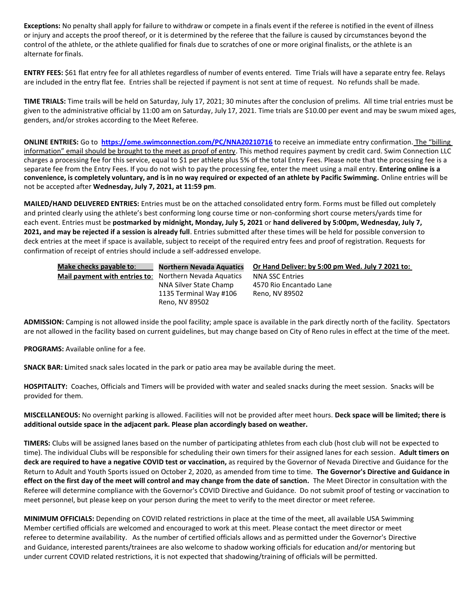**Exceptions:** No penalty shall apply for failure to withdraw or compete in a finals event if the referee is notified in the event of illness or injury and accepts the proof thereof, or it is determined by the referee that the failure is caused by circumstances beyond the control of the athlete, or the athlete qualified for finals due to scratches of one or more original finalists, or the athlete is an alternate forfinals.

**ENTRY FEES:** \$61 flat entry fee for all athletes regardless of number of events entered. Time Trials will have a separate entry fee. Relays are included in the entry flat fee. Entries shall be rejected if payment is not sent at time of request. No refunds shall be made.

**TIME TRIALS:** Time trails will be held on Saturday, July 17, 2021; 30 minutes after the conclusion of prelims. All time trial entries must be given to the administrative official by 11:00 am on Saturday, July 17, 2021. Time trials are \$10.00 per event and may be swum mixed ages, genders, and/or strokes according to the Meet Referee.

**ONLINE ENTRIES:** Go to **[https://ome.swimconnection.com/PC/NNA20210716](https://ome.swimconnection.com/PC/NNA20200321)** to receive an immediate entry confirmation. The "billing information" email should be brought to the meet as proof of entry. This method requires payment by credit card. Swim Connection LLC charges a processing fee for this service, equal to \$1 per athlete plus 5% of the total Entry Fees. Please note that the processing fee is a separate fee from the Entry Fees. If you do not wish to pay the processing fee, enter the meet using a mail entry. **Entering online is a convenience, is completely voluntary, and is in no way required or expected of an athlete by Pacific Swimming.** Online entries will be not be accepted after **Wednesday, July 7, 2021, at 11:59 pm**.

**MAILED/HAND DELIVERED ENTRIES:** Entries must be on the attached consolidated entry form. Forms must be filled out completely and printed clearly using the athlete's best conforming long course time or non-conforming short course meters/yards time for each event. Entries must be **postmarked by midnight, Monday, July 5, 2021** or **hand delivered by 5:00pm, Wednesday, July 7, 2021, and may be rejected if a session is already full**. Entries submitted after these times will be held for possible conversion to deck entries at the meet if space is available, subject to receipt of the required entry fees and proof of registration. Requests for confirmation of receipt of entries should include a self-addressed envelope.

| Make checks payable to:       | <b>Northern Nevada Aquatics</b>          | Or Hand Deliver: by 5:00 pm Wed. July 7 2021 to: |
|-------------------------------|------------------------------------------|--------------------------------------------------|
| Mail payment with entries to: | Northern Nevada Aquatics                 | <b>NNA SSC Entries</b>                           |
|                               | NNA Silver State Champ                   | 4570 Rio Encantado Lane                          |
|                               | 1135 Terminal Way #106<br>Reno. NV 89502 | Reno, NV 89502                                   |

**ADMISSION:** Camping is not allowed inside the pool facility; ample space is available in the park directly north of the facility. Spectators are not allowed in the facility based on current guidelines, but may change based on City of Reno rules in effect at the time of the meet.

**PROGRAMS:** Available online for a fee.

**SNACK BAR: L**imited snack sales located in the park or patio area may be available during the meet.

**HOSPITALITY:** Coaches, Officials and Timers will be provided with water and sealed snacks during the meet session. Snacks will be provided for them.

**MISCELLANEOUS:** No overnight parking is allowed. Facilities will not be provided after meet hours. **Deck space will be limited; there is additional outside space in the adjacent park. Please plan accordingly based on weather.**

**TIMERS:** Clubs will be assigned lanes based on the number of participating athletes from each club (host club will not be expected to time). The individual Clubs will be responsible for scheduling their own timers for their assigned lanes for each session. **Adult timers on deck are required to have a negative COVID test or vaccination,** as required by the Governor of Nevada Directive and Guidance for the Return to Adult and Youth Sports issued on October 2, 2020, as amended from time to time. **The Governor's Directive and Guidance in effect on the first day of the meet will control and may change from the date of sanction.** The Meet Director in consultation with the Referee will determine compliance with the Governor's COVID Directive and Guidance. Do not submit proof of testing or vaccination to meet personnel, but please keep on your person during the meet to verify to the meet director or meet referee.

**MINIMUM OFFICIALS:** Depending on COVID related restrictions in place at the time of the meet, all available USA Swimming Member certified officials are welcomed and encouraged to work at this meet. Please contact the meet director or meet referee to determine availability. As the number of certified officials allows and as permitted under the Governor's Directive and Guidance, interested parents/trainees are also welcome to shadow working officials for education and/or mentoring but under current COVID related restrictions, it is not expected that shadowing/training of officials will be permitted.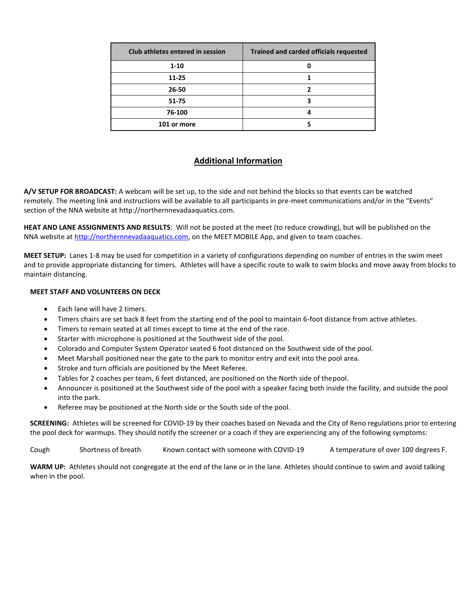| Club athletes entered in session | <b>Trained and carded officials requested</b> |
|----------------------------------|-----------------------------------------------|
| $1 - 10$                         |                                               |
| 11-25                            |                                               |
| 26-50                            | 7                                             |
| 51-75                            | 3                                             |
| 76-100                           |                                               |
| 101 or more                      |                                               |

# **Additional Information**

**A/V SETUP FOR BROADCAST:** A webcam will be set up, to the side and not behind the blocks so that events can be watched remotely. The meeting link and instructions will be available to all participants in pre-meet communications and/or in the "Events" section of the NNA website at http://northernnevadaaquatics.com.

**HEAT AND LANE ASSIGNMENTS AND RESULTS**: Will not be posted at the meet (to reduce crowding), but will be published on the NNA website a[t http://northernnevadaaquatics.com,](http://northernnevadaaquatics.com/) on the MEET MOBILE App, and given to team coaches.

**MEET SETUP:** Lanes 1-8 may be used for competition in a variety of configurations depending on number of entries in the swim meet and to provide appropriate distancing for timers.Athletes will have a specific route to walk to swim blocks and move away from blocks to maintain distancing.

## **MEET STAFF AND VOLUNTEERS ON DECK**

- Each lane will have 2 timers.
- Timers chairs are set back 8 feet from the starting end of the pool to maintain 6-foot distance from active athletes.
- Timers to remain seated at all times except to time at the end of the race.
- Starter with microphone is positioned at the Southwest side of the pool.
- Colorado and Computer System Operator seated 6 foot distanced on the Southwest side of the pool.
- Meet Marshall positioned near the gate to the park to monitor entry and exit into the pool area.
- **•** Stroke and turn officials are positioned by the Meet Referee.
- Tables for 2 coaches per team, 6 feet distanced, are positioned on the North side of thepool.
- Announcer is positioned at the Southwest side of the pool with a speaker facing both inside the facility, and outside the pool into the park.
- Referee may be positioned at the North side or the South side of the pool.

**SCREENING:** Athletes will be screened for COVID-19 by their coaches based on Nevada and the City of Reno regulations prior to entering the pool deck for warmups. They should notify the screener or a coach if they are experiencing any of the following symptoms:

Cough Shortness of breath Known contact with someone with COVID-19 A temperature of over 100 degrees F.

**WARM UP:** Athletes should not congregate at the end of the lane or in the lane. Athletes should continue to swim and avoid talking when in the pool.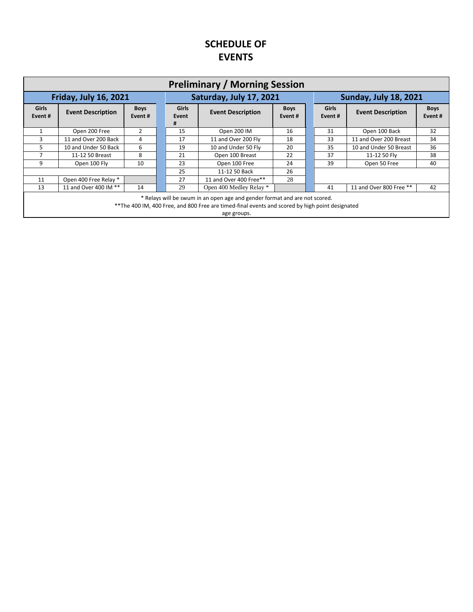# **SCHEDULE OF EVENTS**

| <b>Preliminary / Morning Session</b>                                                                                                                                                          |                          |                       |  |                                                        |                         |                              |  |                         |                          |                       |  |
|-----------------------------------------------------------------------------------------------------------------------------------------------------------------------------------------------|--------------------------|-----------------------|--|--------------------------------------------------------|-------------------------|------------------------------|--|-------------------------|--------------------------|-----------------------|--|
| <b>Friday, July 16, 2021</b>                                                                                                                                                                  |                          |                       |  |                                                        | Saturday, July 17, 2021 | <b>Sunday, July 18, 2021</b> |  |                         |                          |                       |  |
| <b>Girls</b><br>Event#                                                                                                                                                                        | <b>Event Description</b> | <b>Boys</b><br>Event# |  | <b>Girls</b><br><b>Event Description</b><br>Event<br># |                         | <b>Boys</b><br>Event#        |  | <b>Girls</b><br>Event # | <b>Event Description</b> | <b>Boys</b><br>Event# |  |
| 1                                                                                                                                                                                             | Open 200 Free            | 2                     |  | 15                                                     | Open 200 IM             | 16                           |  | 31                      | Open 100 Back            | 32                    |  |
| 3                                                                                                                                                                                             | 11 and Over 200 Back     | 4                     |  | 17                                                     | 11 and Over 200 Fly     | 18                           |  | 33                      | 11 and Over 200 Breast   | 34                    |  |
| 5                                                                                                                                                                                             | 10 and Under 50 Back     | 6                     |  | 19                                                     | 10 and Under 50 Fly     | 20                           |  | 35                      | 10 and Under 50 Breast   | 36                    |  |
| 7                                                                                                                                                                                             | 11-12 50 Breast          | 8                     |  | 21                                                     | Open 100 Breast         | 22                           |  | 37                      | 11-12 50 Flv             | 38                    |  |
| 9                                                                                                                                                                                             | Open 100 Fly             | 10                    |  | 23                                                     | Open 100 Free           | 24                           |  | 39                      | Open 50 Free             | 40                    |  |
|                                                                                                                                                                                               |                          |                       |  | 25                                                     | 11-12 50 Back           | 26                           |  |                         |                          |                       |  |
| 11                                                                                                                                                                                            | Open 400 Free Relay *    |                       |  | 27                                                     | 11 and Over 400 Free**  | 28                           |  |                         |                          |                       |  |
| 13                                                                                                                                                                                            | 11 and Over 400 IM **    | 14                    |  | 29                                                     | Open 400 Medley Relay * |                              |  | 41                      | 11 and Over 800 Free **  | 42                    |  |
| * Relays will be swum in an open age and gender format and are not scored.<br>** The 400 IM, 400 Free, and 800 Free are timed-final events and scored by high point designated<br>age groups. |                          |                       |  |                                                        |                         |                              |  |                         |                          |                       |  |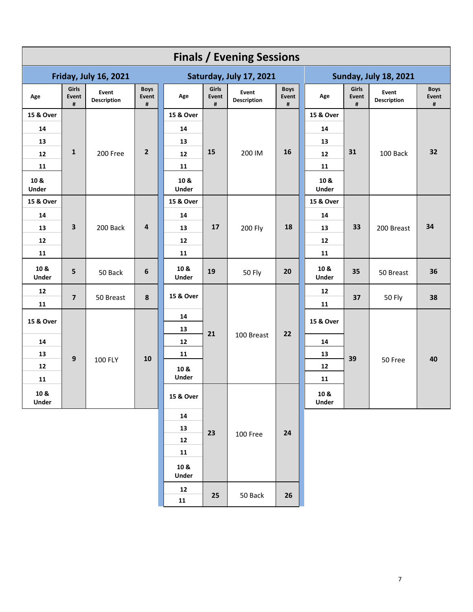| <b>Finals / Evening Sessions</b> |                         |                              |                           |                         |                     |                      |                           |                              |                     |                             |                           |    |            |    |
|----------------------------------|-------------------------|------------------------------|---------------------------|-------------------------|---------------------|----------------------|---------------------------|------------------------------|---------------------|-----------------------------|---------------------------|----|------------|----|
|                                  |                         | <b>Friday, July 16, 2021</b> |                           | Saturday, July 17, 2021 |                     |                      |                           | <b>Sunday, July 18, 2021</b> |                     |                             |                           |    |            |    |
| Age                              | Girls<br>Event<br>#     | Event<br><b>Description</b>  | <b>Boys</b><br>Event<br># | Age                     | Girls<br>Event<br># | Event<br>Description | <b>Boys</b><br>Event<br># | Age                          | Girls<br>Event<br># | Event<br><b>Description</b> | <b>Boys</b><br>Event<br># |    |            |    |
| 15 & Over                        |                         |                              |                           | 15 & Over               |                     |                      |                           | 15 & Over                    |                     |                             |                           |    |            |    |
| 14                               |                         |                              |                           | 14                      |                     |                      |                           | 14                           |                     |                             |                           |    |            |    |
| 13                               |                         |                              |                           | 13                      |                     |                      |                           | 13                           |                     |                             | 32                        |    |            |    |
| 12                               | $\mathbf{1}$            | 200 Free                     | $\overline{2}$            | 12                      | 15                  | 200 IM               | 16                        | 12                           | 31                  | 100 Back                    |                           |    |            |    |
| 11                               |                         |                              |                           | 11                      |                     |                      |                           | 11                           |                     |                             |                           |    |            |    |
| 10 &<br><b>Under</b>             |                         |                              |                           | 10 &<br>Under           |                     |                      |                           | 10 &<br><b>Under</b>         |                     |                             |                           |    |            |    |
| 15 & Over                        |                         |                              |                           | 15 & Over               |                     |                      |                           | 15 & Over                    |                     |                             |                           |    |            |    |
| 14                               |                         |                              |                           | 14                      |                     |                      |                           | 14                           |                     |                             |                           |    |            |    |
| 13                               | 3                       | 200 Back                     |                           |                         |                     | 4                    | 13                        | 17                           | 200 Fly             | 18                          | 13                        | 33 | 200 Breast | 34 |
| 12                               |                         |                              |                           | 12                      |                     |                      |                           | 12                           |                     |                             |                           |    |            |    |
| 11                               |                         |                              |                           | 11                      |                     |                      |                           | 11                           |                     |                             |                           |    |            |    |
| 10 &<br>Under                    | 5                       | 50 Back                      | $\boldsymbol{6}$          | 10 &<br>Under           | 19                  | <b>50 Fly</b>        | 20                        | 10 &<br>Under                | 35                  | 50 Breast                   | 36                        |    |            |    |
| 12                               | $\overline{\mathbf{z}}$ | 50 Breast                    | 8                         | 15 & Over               |                     |                      |                           | 12                           | 37                  | 50 Fly                      | 38                        |    |            |    |
| 11                               |                         |                              |                           |                         |                     |                      |                           | 11                           |                     |                             |                           |    |            |    |
| 15 & Over                        |                         |                              |                           | 14<br>13                |                     | 100 Breast           |                           | 15 & Over                    |                     |                             | 40                        |    |            |    |
| 14                               |                         | 100 FLY                      | 10                        | 12                      | 21                  |                      | 22                        | 14                           |                     | 50 Free                     |                           |    |            |    |
| 13                               | 9                       |                              |                           | 11                      |                     |                      |                           | 13                           | 39                  |                             |                           |    |            |    |
| 12                               |                         |                              |                           | 10 &                    |                     |                      |                           | 12                           |                     |                             |                           |    |            |    |
| 11                               |                         |                              |                           | Under                   |                     |                      |                           | 11                           |                     |                             |                           |    |            |    |
| 10 &<br>Under                    |                         |                              |                           | 15 & Over               |                     |                      |                           | 10 &<br><b>Under</b>         |                     |                             |                           |    |            |    |
|                                  |                         |                              |                           | ${\bf 14}$              |                     |                      |                           |                              |                     |                             |                           |    |            |    |
|                                  |                         |                              | 13                        | 23                      | 100 Free            | ${\bf 24}$           |                           |                              |                     |                             |                           |    |            |    |
|                                  |                         |                              | 12                        |                         |                     |                      |                           |                              |                     |                             |                           |    |            |    |
|                                  |                         |                              | 11                        |                         |                     |                      |                           |                              |                     |                             |                           |    |            |    |
|                                  |                         |                              | 10 &<br><b>Under</b>      |                         |                     |                      |                           |                              |                     |                             |                           |    |            |    |
|                                  |                         | ${\bf 12}$<br>11             | 25                        | 50 Back                 | 26                  |                      |                           |                              |                     |                             |                           |    |            |    |